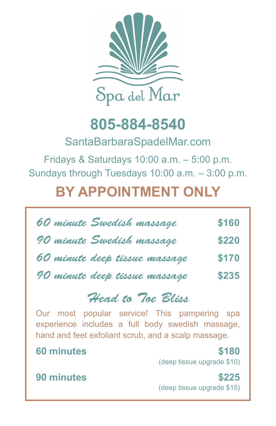

## **805-884-8540**

SantaBarbaraSpadelMar.com

Fridays & Saturdays 10:00 a.m. – 5:00 p.m. Sundays through Tuesdays 10:00 a.m. – 3:00 p.m.

## **BY APPOINTMENT ONLY**

| 60 minute Swedish massage     | \$160 |
|-------------------------------|-------|
| 90 minute Swedish massage     | \$220 |
| 60 minute deep tissue massage | \$170 |
| 90 minute deep tissue massage | \$235 |

## *Head to Toe Bliss*

Our most popular service! This pampering spa experience includes a full body swedish massage, hand and feet exfoliant scrub, and a scalp massage.

## **60 minutes \$180**

(deep tissue upgrade \$10)

**90 minutes \$225** (deep tissue upgrade \$15)